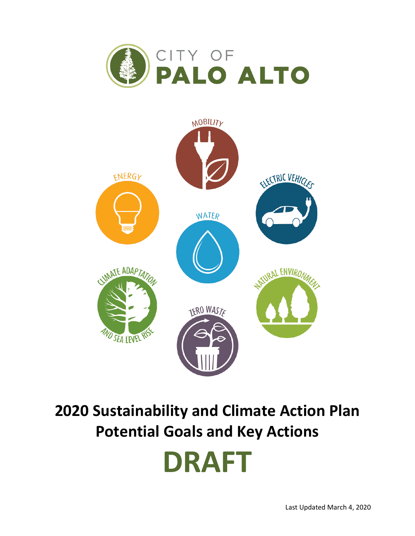



## **2020 Sustainability and Climate Action Plan Potential Goals and Key Actions**

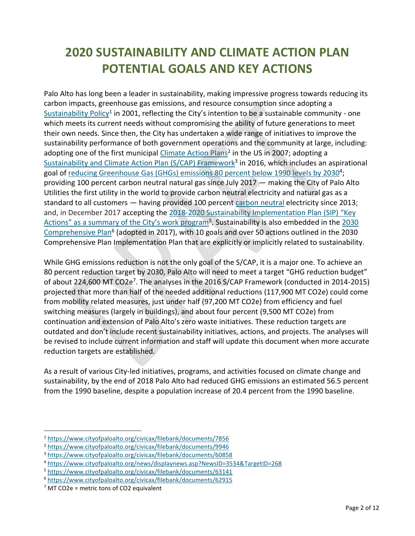## **2020 SUSTAINABILITY AND CLIMATE ACTION PLAN POTENTIAL GOALS AND KEY ACTIONS**

Palo Alto has long been a leader in sustainability, making impressive progress towards reducing its carbon impacts, greenhouse gas emissions, and resource consumption since adopting a [Sustainability Policy](https://www.cityofpaloalto.org/civicax/filebank/documents/7856)<sup>1</sup> in 2001, reflecting the City's intention to be a sustainable community - one which meets its current needs without compromising the ability of future generations to meet their own needs. Since then, the City has undertaken a wide range of initiatives to improve the sustainability performance of both government operations and the community at large, including: adopting one of the first municipal *Climate Action Plans<sup>2</sup>* in the US in 2007; adopting a [Sustainability and Climate Action Plan \(S/CAP\) Framework](http://www.cityofpaloalto.org/civicax/filebank/blobdload.aspx?BlobID=60858)<sup>3</sup> in 2016, which includes an aspirational goal o[f reducing Greenhouse Gas \(GHGs\) emissions 80 percent below 1990 levels by 2030](http://www.cityofpaloalto.org/news/displaynews.asp?NewsID=3534&TargetID=268)<sup>4</sup>; providing 100 percent carbon neutral natural gas since July 2017 — making the City of Palo Alto Utilities the first utility in the world to provide carbon neutral electricity and natural gas as a standard to all customers — having provided 100 percent [carbon neutral](http://www.cityofpaloalto.org/gov/depts/utl/residents/sustainablehome/carbon_neutral/default.asp) electricity since 2013; and, in December 2017 accepting the [2018-2020 Sustainability Implementation Plan \(SIP\)](https://www.cityofpaloalto.org/civicax/filebank/documents/63141) "Key Actions" as a summary of the City's work program<sup>5</sup>. Sustainability is also embedded in the 2030 [Comprehensive Plan](https://www.cityofpaloalto.org/civicax/filebank/documents/62915)<sup>6</sup> (adopted in 2017), with 10 goals and over 50 actions outlined in the 2030 Comprehensive Plan Implementation Plan that are explicitly or implicitly related to sustainability.

While GHG emissions reduction is not the only goal of the S/CAP, it is a major one. To achieve an 80 percent reduction target by 2030, Palo Alto will need to meet a target "GHG reduction budget" of about 224,600 MT CO2e<sup>7</sup>. The analyses in the 2016 S/CAP Framework (conducted in 2014-2015) projected that more than half of the needed additional reductions (117,900 MT CO2e) could come from mobility related measures, just under half (97,200 MT CO2e) from efficiency and fuel switching measures (largely in buildings), and about four percent (9,500 MT CO2e) from continuation and extension of Palo Alto's zero waste initiatives. These reduction targets are outdated and don't include recent sustainability initiatives, actions, and projects. The analyses will be revised to include current information and staff will update this document when more accurate reduction targets are established.

As a result of various City-led initiatives, programs, and activities focused on climate change and sustainability, by the end of 2018 Palo Alto had reduced GHG emissions an estimated 56.5 percent from the 1990 baseline, despite a population increase of 20.4 percent from the 1990 baseline.

<sup>1</sup> <https://www.cityofpaloalto.org/civicax/filebank/documents/7856>

<sup>2</sup> <https://www.cityofpaloalto.org/civicax/filebank/documents/9946>

<sup>3</sup> <https://www.cityofpaloalto.org/civicax/filebank/documents/60858>

<sup>4</sup> <https://www.cityofpaloalto.org/news/displaynews.asp?NewsID=3534&TargetID=268>

<sup>5</sup> <https://www.cityofpaloalto.org/civicax/filebank/documents/63141>

<sup>6</sup> <https://www.cityofpaloalto.org/civicax/filebank/documents/62915>

 $<sup>7</sup>$  MT CO2e = metric tons of CO2 equivalent</sup>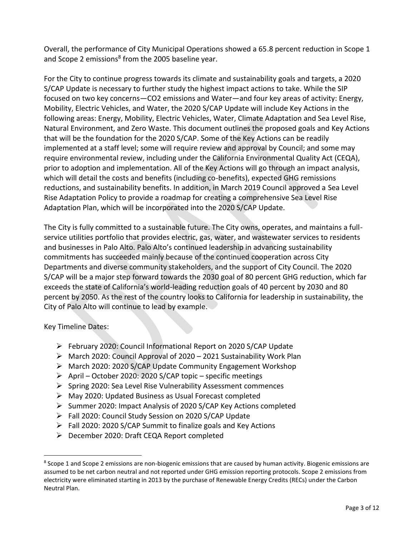Overall, the performance of City Municipal Operations showed a 65.8 percent reduction in Scope 1 and Scope 2 emissions<sup>8</sup> from the 2005 baseline year.

For the City to continue progress towards its climate and sustainability goals and targets, a 2020 S/CAP Update is necessary to further study the highest impact actions to take. While the SIP focused on two key concerns—CO2 emissions and Water—and four key areas of activity: Energy, Mobility, Electric Vehicles, and Water, the 2020 S/CAP Update will include Key Actions in the following areas: Energy, Mobility, Electric Vehicles, Water, Climate Adaptation and Sea Level Rise, Natural Environment, and Zero Waste. This document outlines the proposed goals and Key Actions that will be the foundation for the 2020 S/CAP. Some of the Key Actions can be readily implemented at a staff level; some will require review and approval by Council; and some may require environmental review, including under the California Environmental Quality Act (CEQA), prior to adoption and implementation. All of the Key Actions will go through an impact analysis, which will detail the costs and benefits (including co-benefits), expected GHG remissions reductions, and sustainability benefits. In addition, in March 2019 Council approved a Sea Level Rise Adaptation Policy to provide a roadmap for creating a comprehensive Sea Level Rise Adaptation Plan, which will be incorporated into the 2020 S/CAP Update.

The City is fully committed to a sustainable future. The City owns, operates, and maintains a fullservice utilities portfolio that provides electric, gas, water, and wastewater services to residents and businesses in Palo Alto. Palo Alto's continued leadership in advancing sustainability commitments has succeeded mainly because of the continued cooperation across City Departments and diverse community stakeholders, and the support of City Council. The 2020 S/CAP will be a major step forward towards the 2030 goal of 80 percent GHG reduction, which far exceeds the state of California's world-leading reduction goals of 40 percent by 2030 and 80 percent by 2050. As the rest of the country looks to California for leadership in sustainability, the City of Palo Alto will continue to lead by example.

Key Timeline Dates:

- ➢ February 2020: Council Informational Report on 2020 S/CAP Update
- ➢ March 2020: Council Approval of 2020 2021 Sustainability Work Plan
- ➢ March 2020: 2020 S/CAP Update Community Engagement Workshop
- ➢ April October 2020: 2020 S/CAP topic specific meetings
- ➢ Spring 2020: Sea Level Rise Vulnerability Assessment commences
- ➢ May 2020: Updated Business as Usual Forecast completed
- ➢ Summer 2020: Impact Analysis of 2020 S/CAP Key Actions completed
- ➢ Fall 2020: Council Study Session on 2020 S/CAP Update
- ➢ Fall 2020: 2020 S/CAP Summit to finalize goals and Key Actions
- ➢ December 2020: Draft CEQA Report completed

<sup>&</sup>lt;sup>8</sup> Scope 1 and Scope 2 emissions are non-biogenic emissions that are caused by human activity. Biogenic emissions are assumed to be net carbon neutral and not reported under GHG emission reporting protocols. Scope 2 emissions from electricity were eliminated starting in 2013 by the purchase of Renewable Energy Credits (RECs) under the Carbon Neutral Plan.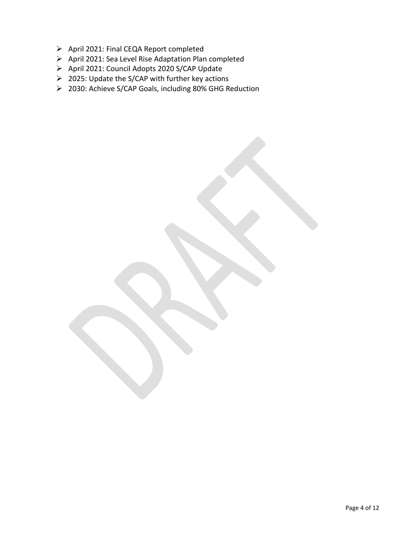- ➢ April 2021: Final CEQA Report completed
- ➢ April 2021: Sea Level Rise Adaptation Plan completed
- ➢ April 2021: Council Adopts 2020 S/CAP Update
- ➢ 2025: Update the S/CAP with further key actions
- ➢ 2030: Achieve S/CAP Goals, including 80% GHG Reduction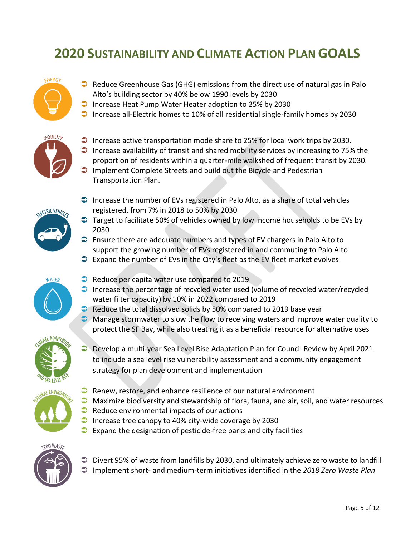## **2020 SUSTAINABILITY AND CLIMATE ACTION PLAN GOALS**

## ENERGY

- $\bullet$  Reduce Greenhouse Gas (GHG) emissions from the direct use of natural gas in Palo Alto's building sector by 40% below 1990 levels by 2030
- Increase Heat Pump Water Heater adoption to 25% by 2030
- $\Box$  Increase all-Electric homes to 10% of all residential single-family homes by 2030



- $\bigcirc$  Increase active transportation mode share to 25% for local work trips by 2030.
- $\Box$  Increase availability of transit and shared mobility services by increasing to 75% the proportion of residents within a quarter-mile walkshed of frequent transit by 2030.
- $\Box$  Implement Complete Streets and build out the Bicycle and Pedestrian Transportation Plan.



- $\supset$  Increase the number of EVs registered in Palo Alto, as a share of total vehicles registered, from 7% in 2018 to 50% by 2030
- $\supset$  Target to facilitate 50% of vehicles owned by low income households to be EVs by 2030
- $\supset$  Ensure there are adequate numbers and types of EV chargers in Palo Alto to support the growing number of EVs registered in and commuting to Palo Alto
- $\supset$  Expand the number of EVs in the City's fleet as the EV fleet market evolves



- Reduce per capita water use compared to 2019
- $\bullet$  Increase the percentage of recycled water used (volume of recycled water/recycled water filter capacity) by 10% in 2022 compared to 2019
- $\bullet$  Reduce the total dissolved solids by 50% compared to 2019 base year
- $\bullet$  Manage stormwater to slow the flow to receiving waters and improve water quality to protect the SF Bay, while also treating it as a beneficial resource for alternative uses



 Develop a multi-year Sea Level Rise Adaptation Plan for Council Review by April 2021 to include a sea level rise vulnerability assessment and a community engagement strategy for plan development and implementation



- $\supset$  Renew, restore, and enhance resilience of our natural environment
- $\bullet$  Maximize biodiversity and stewardship of flora, fauna, and air, soil, and water resources  $\bullet$  Reduce environmental impacts of our actions
- $\Box$  Increase tree canopy to 40% city-wide coverage by 2030
- $\supset$  Expand the designation of pesticide-free parks and city facilities



● Divert 95% of waste from landfills by 2030, and ultimately achieve zero waste to landfill Implement short- and medium-term initiatives identified in the *2018 Zero Waste Plan*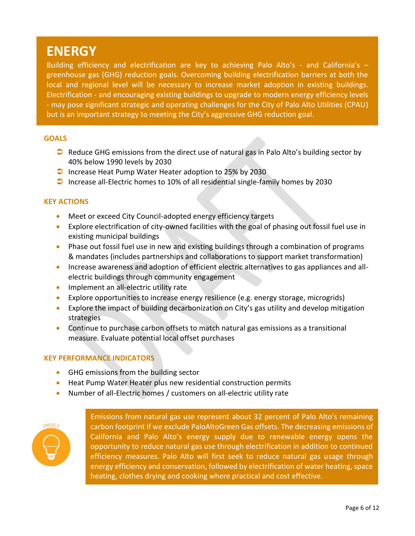### **ENERGY**

Building efficiency and electrification are key to achieving Palo Alto's - and California's greenhouse gas (GHG) reduction goals. Overcoming building electrification barriers at both the local and regional level will be necessary to increase market adoption in existing buildings. Electrification - and encouraging existing buildings to upgrade to modern energy efficiency levels - may pose significant strategic and operating challenges for the City of Palo Alto Utilities (CPAU) but is an important strategy to meeting the City's aggressive GHG reduction goal.

#### **GOALS**

- $\supset$  Reduce GHG emissions from the direct use of natural gas in Palo Alto's building sector by 40% below 1990 levels by 2030
- $\bullet$  Increase Heat Pump Water Heater adoption to 25% by 2030
- $\Box$  Increase all-Electric homes to 10% of all residential single-family homes by 2030

#### **KEY ACTIONS**

- Meet or exceed City Council-adopted energy efficiency targets
- Explore electrification of city-owned facilities with the goal of phasing out fossil fuel use in existing municipal buildings
- Phase out fossil fuel use in new and existing buildings through a combination of programs & mandates (includes partnerships and collaborations to support market transformation)
- Increase awareness and adoption of efficient electric alternatives to gas appliances and allelectric buildings through community engagement
- Implement an all-electric utility rate
- Explore opportunities to increase energy resilience (e.g. energy storage, microgrids)
- Explore the impact of building decarbonization on City's gas utility and develop mitigation strategies
- Continue to purchase carbon offsets to match natural gas emissions as a transitional measure. Evaluate potential local offset purchases

#### **KEY PERFORMANCE INDICATORS**

- GHG emissions from the building sector
- Heat Pump Water Heater plus new residential construction permits
- Number of all-Electric homes / customers on all-electric utility rate

# ENERGY

Emissions from natural gas use represent about 32 percent of Palo Alto's remaining carbon footprint if we exclude PaloAltoGreen Gas offsets. The decreasing emissions of California and Palo Alto's energy supply due to renewable energy opens the opportunity to reduce natural gas use through electrification in addition to continued efficiency measures. Palo Alto will first seek to reduce natural gas usage through energy efficiency and conservation, followed by electrification of water heating, space heating, clothes drying and cooking where practical and cost effective.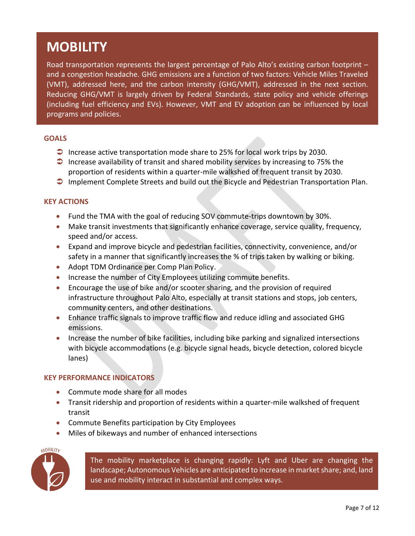## **MOBILITY**

Road transportation represents the largest percentage of Palo Alto's existing carbon footprint – and a congestion headache. GHG emissions are a function of two factors: Vehicle Miles Traveled (VMT), addressed here, and the carbon intensity (GHG/VMT), addressed in the next section. Reducing GHG/VMT is largely driven by Federal Standards, state policy and vehicle offerings (including fuel efficiency and EVs). However, VMT and EV adoption can be influenced by local programs and policies.

#### **GOALS**

- Increase active transportation mode share to 25% for local work trips by 2030.
- $\Box$  Increase availability of transit and shared mobility services by increasing to 75% the proportion of residents within a quarter-mile walkshed of frequent transit by 2030.
- **Implement Complete Streets and build out the Bicycle and Pedestrian Transportation Plan.**

#### **KEY ACTIONS**

- Fund the TMA with the goal of reducing SOV commute-trips downtown by 30%.
- Make transit investments that significantly enhance coverage, service quality, frequency, speed and/or access.
- Expand and improve bicycle and pedestrian facilities, connectivity, convenience, and/or safety in a manner that significantly increases the % of trips taken by walking or biking.
- Adopt TDM Ordinance per Comp Plan Policy.
- Increase the number of City Employees utilizing commute benefits.
- Encourage the use of bike and/or scooter sharing, and the provision of required infrastructure throughout Palo Alto, especially at transit stations and stops, job centers, community centers, and other destinations.
- Enhance traffic signals to improve traffic flow and reduce idling and associated GHG emissions.
- Increase the number of bike facilities, including bike parking and signalized intersections with bicycle accommodations (e.g. bicycle signal heads, bicycle detection, colored bicycle lanes)

#### **KEY PERFORMANCE INDICATORS**

- Commute mode share for all modes
- Transit ridership and proportion of residents within a quarter-mile walkshed of frequent transit
- Commute Benefits participation by City Employees
- Miles of bikeways and number of enhanced intersections



The mobility marketplace is changing rapidly: Lyft and Uber are changing the landscape; Autonomous Vehicles are anticipated to increase in market share; and, land use and mobility interact in substantial and complex ways.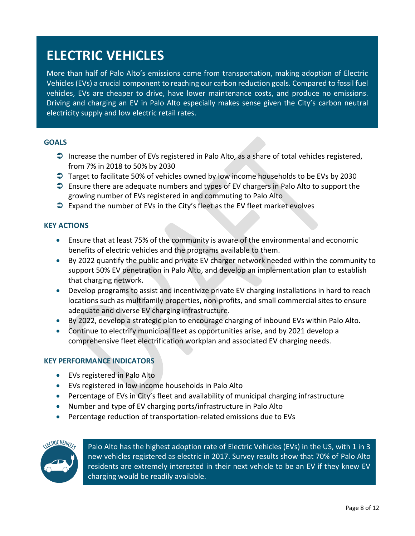## **ELECTRIC VEHICLES**

More than half of Palo Alto's emissions come from transportation, making adoption of Electric Vehicles (EVs) a crucial component to reaching our carbon reduction goals. Compared to fossil fuel vehicles, EVs are cheaper to drive, have lower maintenance costs, and produce no emissions. Driving and charging an EV in Palo Alto especially makes sense given the City's carbon neutral electricity supply and low electric retail rates.

#### **GOALS**

- $\supset$  Increase the number of EVs registered in Palo Alto, as a share of total vehicles registered, from 7% in 2018 to 50% by 2030
- Target to facilitate 50% of vehicles owned by low income households to be EVs by 2030
- **■** Ensure there are adequate numbers and types of EV chargers in Palo Alto to support the growing number of EVs registered in and commuting to Palo Alto
- $\supset$  Expand the number of EVs in the City's fleet as the EV fleet market evolves

#### **KEY ACTIONS**

- Ensure that at least 75% of the community is aware of the environmental and economic benefits of electric vehicles and the programs available to them.
- By 2022 quantify the public and private EV charger network needed within the community to support 50% EV penetration in Palo Alto, and develop an implementation plan to establish that charging network.
- Develop programs to assist and incentivize private EV charging installations in hard to reach locations such as multifamily properties, non-profits, and small commercial sites to ensure adequate and diverse EV charging infrastructure.
- By 2022, develop a strategic plan to encourage charging of inbound EVs within Palo Alto.
- Continue to electrify municipal fleet as opportunities arise, and by 2021 develop a comprehensive fleet electrification workplan and associated EV charging needs.

#### **KEY PERFORMANCE INDICATORS**

- EVs registered in Palo Alto
- EVs registered in low income households in Palo Alto
- Percentage of EVs in City's fleet and availability of municipal charging infrastructure
- Number and type of EV charging ports/infrastructure in Palo Alto
- Percentage reduction of transportation-related emissions due to EVs



Palo Alto has the highest adoption rate of Electric Vehicles (EVs) in the US, with 1 in 3 new vehicles registered as electric in 2017. Survey results show that 70% of Palo Alto residents are extremely interested in their next vehicle to be an EV if they knew EV charging would be readily available.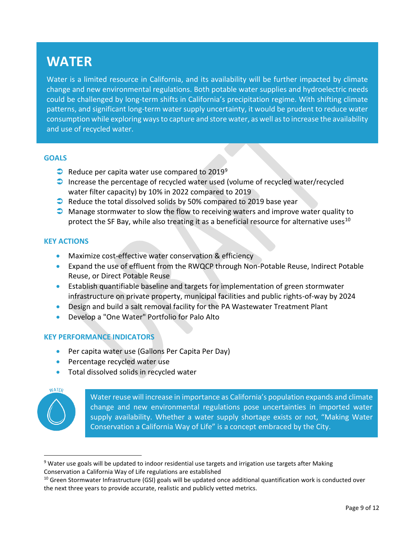### **WATER**

Water is a limited resource in California, and its availability will be further impacted by climate change and new environmental regulations. Both potable water supplies and hydroelectric needs could be challenged by long-term shifts in California's precipitation regime. With shifting climate patterns, and significant long-term water supply uncertainty, it would be prudent to reduce water consumption while exploring ways to capture and store water, as well as to increase the availability and use of recycled water.

#### **GOALS**

- $\bullet$  Reduce per capita water use compared to 2019<sup>9</sup>
- Increase the percentage of recycled water used (volume of recycled water/recycled water filter capacity) by 10% in 2022 compared to 2019
- $\bullet$  Reduce the total dissolved solids by 50% compared to 2019 base year
- **C** Manage stormwater to slow the flow to receiving waters and improve water quality to protect the SF Bay, while also treating it as a beneficial resource for alternative uses<sup>10</sup>

#### **KEY ACTIONS**

- Maximize cost-effective water conservation & efficiency
- Expand the use of effluent from the RWQCP through Non-Potable Reuse, Indirect Potable Reuse, or Direct Potable Reuse
- Establish quantifiable baseline and targets for implementation of green stormwater infrastructure on private property, municipal facilities and public rights-of-way by 2024
- Design and build a salt removal facility for the PA Wastewater Treatment Plant
- Develop a "One Water" Portfolio for Palo Alto

#### **KEY PERFORMANCE INDICATORS**

- Per capita water use (Gallons Per Capita Per Day)
- Percentage recycled water use
- Total dissolved solids in recycled water



Water reuse will increase in importance as California's population expands and climate change and new environmental regulations pose uncertainties in imported water supply availability. Whether a water supply shortage exists or not, "Making Water Conservation a California Way of Life" is a concept embraced by the City.

<sup>&</sup>lt;sup>9</sup> Water use goals will be updated to indoor residential use targets and irrigation use targets after Making Conservation a California Way of Life regulations are established

 $10$  Green Stormwater Infrastructure (GSI) goals will be updated once additional quantification work is conducted over the next three years to provide accurate, realistic and publicly vetted metrics.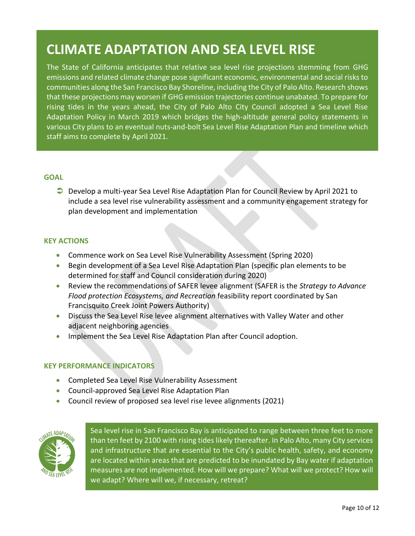## **CLIMATE ADAPTATION AND SEA LEVEL RISE**

The State of California anticipates that relative sea level rise projections stemming from GHG emissions and related climate change pose significant economic, environmental and social risks to communities along the San Francisco Bay Shoreline, including the City of Palo Alto. Research shows that these projections may worsen if GHG emission trajectories continue unabated. To prepare for rising tides in the years ahead, the City of Palo Alto City Council adopted a Sea Level Rise Adaptation Policy in March 2019 which bridges the high-altitude general policy statements in various City plans to an eventual nuts-and-bolt Sea Level Rise Adaptation Plan and timeline which staff aims to complete by April 2021.

#### **GOAL**

 Develop a multi-year Sea Level Rise Adaptation Plan for Council Review by April 2021 to include a sea level rise vulnerability assessment and a community engagement strategy for plan development and implementation

#### **KEY ACTIONS**

- Commence work on Sea Level Rise Vulnerability Assessment (Spring 2020)
- Begin development of a Sea Level Rise Adaptation Plan (specific plan elements to be determined for staff and Council consideration during 2020)
- Review the recommendations of SAFER levee alignment (SAFER is the *Strategy to Advance Flood protection Ecosystems, and Recreation* feasibility report coordinated by San Francisquito Creek Joint Powers Authority)
- Discuss the Sea Level Rise levee alignment alternatives with Valley Water and other adjacent neighboring agencies
- Implement the Sea Level Rise Adaptation Plan after Council adoption.

#### **KEY PERFORMANCE INDICATORS**

- Completed Sea Level Rise Vulnerability Assessment
- Council-approved Sea Level Rise Adaptation Plan
- Council review of proposed sea level rise levee alignments (2021)



Sea level rise in San Francisco Bay is anticipated to range between three feet to more than ten feet by 2100 with rising tides likely thereafter. In Palo Alto, many City services and infrastructure that are essential to the City's public health, safety, and economy are located within areas that are predicted to be inundated by Bay water if adaptation measures are not implemented. How will we prepare? What will we protect? How will we adapt? Where will we, if necessary, retreat?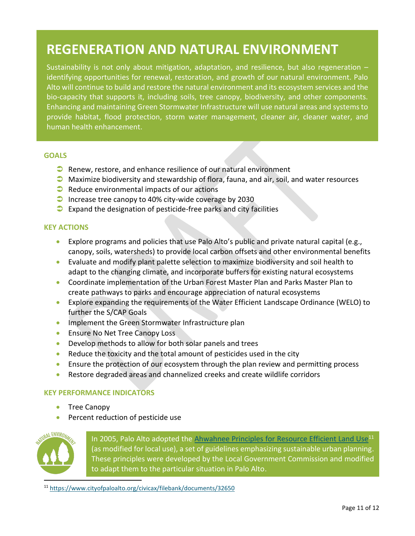## **REGENERATION AND NATURAL ENVIRONMENT**

Sustainability is not only about mitigation, adaptation, and resilience, but also regeneration  $$ identifying opportunities for renewal, restoration, and growth of our natural environment. Palo Alto will continue to build and restore the natural environment and its ecosystem services and the bio-capacity that supports it, including soils, tree canopy, biodiversity, and other components. Enhancing and maintaining Green Stormwater Infrastructure will use natural areas and systems to provide habitat, flood protection, storm water management, cleaner air, cleaner water, and human health enhancement.

#### **GOALS**

- $\bullet$  Renew, restore, and enhance resilience of our natural environment
- Maximize biodiversity and stewardship of flora, fauna, and air, soil, and water resources
- $\bullet$  Reduce environmental impacts of our actions
- $\bullet$  Increase tree canopy to 40% city-wide coverage by 2030
- $\bullet$  Expand the designation of pesticide-free parks and city facilities

#### **KEY ACTIONS**

- Explore programs and policies that use Palo Alto's public and private natural capital (e.g., canopy, soils, watersheds) to provide local carbon offsets and other environmental benefits
- Evaluate and modify plant palette selection to maximize biodiversity and soil health to adapt to the changing climate, and incorporate buffers for existing natural ecosystems
- Coordinate implementation of the Urban Forest Master Plan and Parks Master Plan to create pathways to parks and encourage appreciation of natural ecosystems
- Explore expanding the requirements of the Water Efficient Landscape Ordinance (WELO) to further the S/CAP Goals
- **Implement the Green Stormwater Infrastructure plan**
- Ensure No Net Tree Canopy Loss
- Develop methods to allow for both solar panels and trees
- Reduce the toxicity and the total amount of pesticides used in the city
- Ensure the protection of our ecosystem through the plan review and permitting process
- Restore degraded areas and channelized creeks and create wildlife corridors

#### **KEY PERFORMANCE INDICATORS**

- Tree Canopy
- Percent reduction of pesticide use



In 2005, Palo Alto adopted the <u>Ahwahnee Principles [for Resource Efficient Land Use](https://www.cityofpaloalto.org/civicax/filebank/documents/32650)</u><sup>11</sup> (as modified for local use), a set of guidelines emphasizing sustainable urban planning. These principles were developed by the Local Government Commission and modified to adapt them to the particular situation in Palo Alto.

<sup>11</sup> <https://www.cityofpaloalto.org/civicax/filebank/documents/32650>